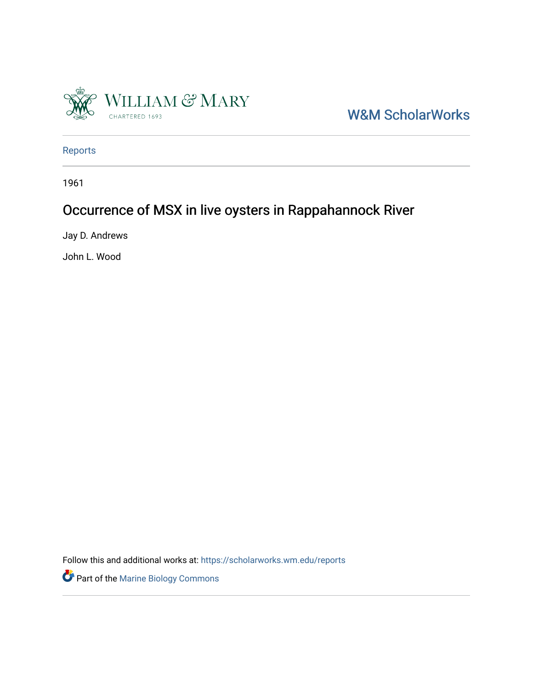

W&M ScholarWorks

[Reports](https://scholarworks.wm.edu/reports)

1961

## Occurrence of MSX in live oysters in Rappahannock River

Jay D. Andrews

John L. Wood

Follow this and additional works at: [https://scholarworks.wm.edu/reports](https://scholarworks.wm.edu/reports?utm_source=scholarworks.wm.edu%2Freports%2F2766&utm_medium=PDF&utm_campaign=PDFCoverPages)

Part of the [Marine Biology Commons](https://network.bepress.com/hgg/discipline/1126?utm_source=scholarworks.wm.edu%2Freports%2F2766&utm_medium=PDF&utm_campaign=PDFCoverPages)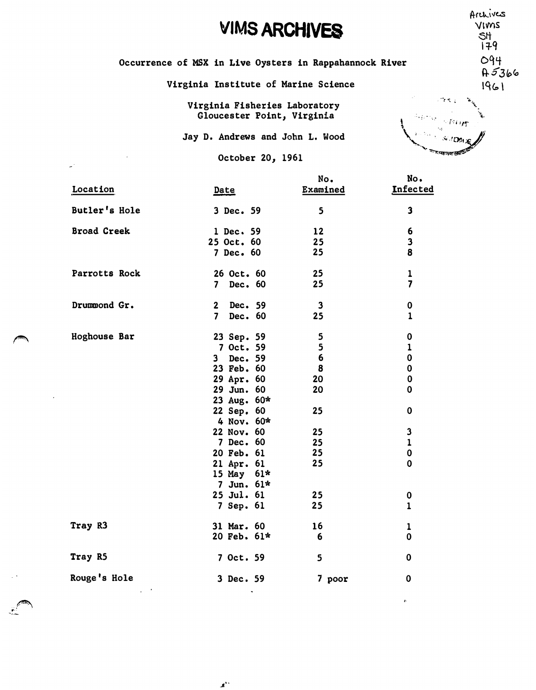## **VIMS ARCHIVES**

Occurrence of MSX in Live Oysters in Rappahannock River

Virginia Institute of Marine Science

Virginia Fisheries Laboratory Gloucester Point, Virginia

Jay D. Andrews and John L. Wood

October 20, 1961

|                    |                                    | No.                     | No.                     |
|--------------------|------------------------------------|-------------------------|-------------------------|
| Location           | <u>Date</u>                        | Examined                | Infected                |
| Butler's Hole      | 3 Dec. 59                          | 5                       | $\mathbf{3}$            |
| <b>Broad Creek</b> | 1 Dec. 59                          | 12                      | 6                       |
|                    | 25 Oct. 60                         | 25                      | $\mathbf 3$             |
|                    | 7 Dec. 60                          | 25                      | 8                       |
| Parrotts Rock      | 26 Oct. 60                         | 25                      | $\mathbf{1}$            |
|                    | Dec. 60<br>$\overline{\mathbf{z}}$ | 25                      | $\overline{\mathbf{z}}$ |
| Drummond Gr.       | 2 Dec. 59                          | $\overline{\mathbf{3}}$ | $\bf{0}$                |
|                    | 7 Dec. 60                          | 25                      | $\mathbf{1}$            |
| Hoghouse Bar       | 23 Sep. 59                         | 5                       | 0                       |
|                    | 7 Oct. 59                          | $\overline{\mathbf{5}}$ | $\mathbf{1}$            |
|                    | 3 Dec. 59                          | 6                       | $\mathbf 0$             |
|                    | 23 Feb. 60                         | 8                       | $\mathbf 0$             |
|                    | 29 Apr. 60                         | 20                      | $\mathbf 0$             |
|                    | 29 Jun. 60                         | 20                      | $\mathbf 0$             |
|                    | 23 Aug. 60*                        |                         |                         |
|                    | 22 Sep. 60                         | 25                      | $\mathbf 0$             |
|                    | 4 Nov. $60*$                       |                         |                         |
|                    | 22 Nov. 60                         | 25                      | $\mathbf 3$             |
|                    | 7 Dec. 60                          | 25                      | $\mathbf{1}$            |
|                    | 20 Feb. 61                         | 25                      | $\pmb{0}$               |
|                    | 21 Apr. 61                         | 25                      | $\mathbf 0$             |
|                    | 15 May 61*                         |                         |                         |
|                    | 7 Jun. $61*$                       |                         |                         |
|                    | 25 Jul. 61                         | 25                      | 0                       |
|                    | 7 Sep. 61                          | 25                      | $\mathbf{1}$            |
| Tray R3            | 31 Mar. 60                         | 16                      | $\mathbf 1$             |
|                    | 20 Feb. 61*                        | - 6                     | $\mathbf 0$             |
| Tray R5            | 7 Oct. 59                          | 5                       | $\mathbf 0$             |
| Rouge's Hole       | 3 Dec. 59                          | 7 poor                  | $\mathbf 0$             |

 $\boldsymbol{s}^{\prime\prime}$